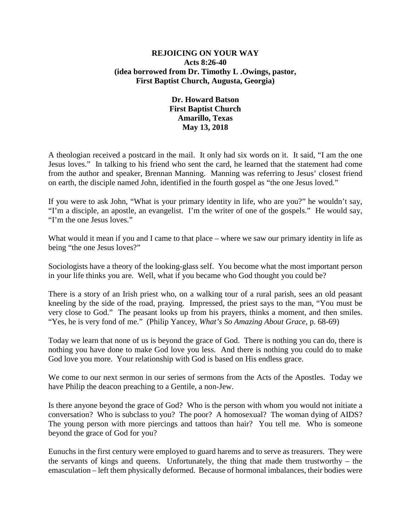## **REJOICING ON YOUR WAY Acts 8:26-40 (idea borrowed from Dr. Timothy L .Owings, pastor, First Baptist Church, Augusta, Georgia)**

## **Dr. Howard Batson First Baptist Church Amarillo, Texas May 13, 2018**

A theologian received a postcard in the mail. It only had six words on it. It said, "I am the one Jesus loves." In talking to his friend who sent the card, he learned that the statement had come from the author and speaker, Brennan Manning. Manning was referring to Jesus' closest friend on earth, the disciple named John, identified in the fourth gospel as "the one Jesus loved."

If you were to ask John, "What is your primary identity in life, who are you?" he wouldn't say, "I'm a disciple, an apostle, an evangelist. I'm the writer of one of the gospels." He would say, "I'm the one Jesus loves."

What would it mean if you and I came to that place – where we saw our primary identity in life as being "the one Jesus loves?"

Sociologists have a theory of the looking-glass self. You become what the most important person in your life thinks you are. Well, what if you became who God thought you could be?

There is a story of an Irish priest who, on a walking tour of a rural parish, sees an old peasant kneeling by the side of the road, praying. Impressed, the priest says to the man, "You must be very close to God." The peasant looks up from his prayers, thinks a moment, and then smiles. "Yes, he is very fond of me." (Philip Yancey, *What's So Amazing About Grace*, p. 68-69)

Today we learn that none of us is beyond the grace of God. There is nothing you can do, there is nothing you have done to make God love you less. And there is nothing you could do to make God love you more. Your relationship with God is based on His endless grace.

We come to our next sermon in our series of sermons from the Acts of the Apostles. Today we have Philip the deacon preaching to a Gentile, a non-Jew.

Is there anyone beyond the grace of God? Who is the person with whom you would not initiate a conversation? Who is subclass to you? The poor? A homosexual? The woman dying of AIDS? The young person with more piercings and tattoos than hair? You tell me. Who is someone beyond the grace of God for you?

Eunuchs in the first century were employed to guard harems and to serve as treasurers. They were the servants of kings and queens. Unfortunately, the thing that made them trustworthy – the emasculation – left them physically deformed. Because of hormonal imbalances, their bodies were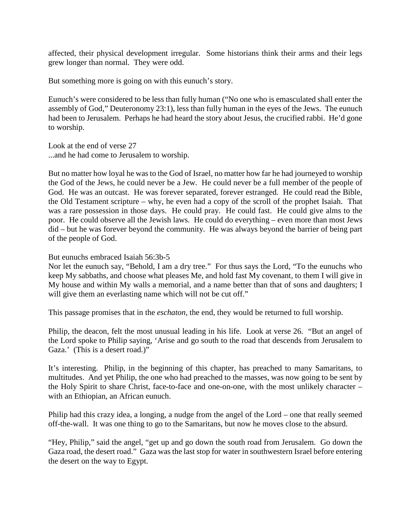affected, their physical development irregular. Some historians think their arms and their legs grew longer than normal. They were odd.

But something more is going on with this eunuch's story.

Eunuch's were considered to be less than fully human ("No one who is emasculated shall enter the assembly of God," Deuteronomy 23:1), less than fully human in the eyes of the Jews. The eunuch had been to Jerusalem. Perhaps he had heard the story about Jesus, the crucified rabbi. He'd gone to worship.

Look at the end of verse 27 ...and he had come to Jerusalem to worship.

But no matter how loyal he was to the God of Israel, no matter how far he had journeyed to worship the God of the Jews, he could never be a Jew. He could never be a full member of the people of God. He was an outcast. He was forever separated, forever estranged. He could read the Bible, the Old Testament scripture – why, he even had a copy of the scroll of the prophet Isaiah. That was a rare possession in those days. He could pray. He could fast. He could give alms to the poor. He could observe all the Jewish laws. He could do everything – even more than most Jews did – but he was forever beyond the community. He was always beyond the barrier of being part of the people of God.

But eunuchs embraced Isaiah 56:3b-5

Nor let the eunuch say, "Behold, I am a dry tree." For thus says the Lord, "To the eunuchs who keep My sabbaths, and choose what pleases Me, and hold fast My covenant, to them I will give in My house and within My walls a memorial, and a name better than that of sons and daughters; I will give them an everlasting name which will not be cut off."

This passage promises that in the *eschaton,* the end, they would be returned to full worship.

Philip, the deacon, felt the most unusual leading in his life. Look at verse 26. "But an angel of the Lord spoke to Philip saying, 'Arise and go south to the road that descends from Jerusalem to Gaza.' (This is a desert road.)"

It's interesting. Philip, in the beginning of this chapter, has preached to many Samaritans, to multitudes. And yet Philip, the one who had preached to the masses, was now going to be sent by the Holy Spirit to share Christ, face-to-face and one-on-one, with the most unlikely character – with an Ethiopian, an African eunuch.

Philip had this crazy idea, a longing, a nudge from the angel of the Lord – one that really seemed off-the-wall. It was one thing to go to the Samaritans, but now he moves close to the absurd.

"Hey, Philip," said the angel, "get up and go down the south road from Jerusalem. Go down the Gaza road, the desert road." Gaza was the last stop for water in southwestern Israel before entering the desert on the way to Egypt.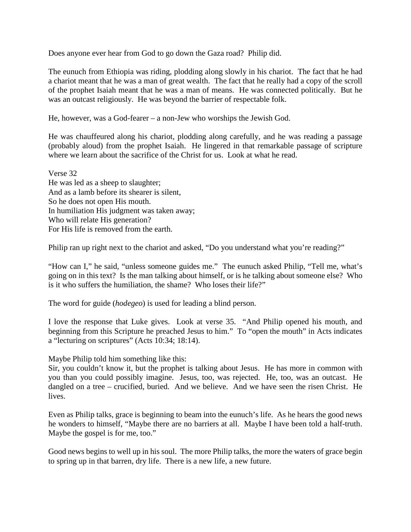Does anyone ever hear from God to go down the Gaza road? Philip did.

The eunuch from Ethiopia was riding, plodding along slowly in his chariot. The fact that he had a chariot meant that he was a man of great wealth. The fact that he really had a copy of the scroll of the prophet Isaiah meant that he was a man of means. He was connected politically. But he was an outcast religiously. He was beyond the barrier of respectable folk.

He, however, was a God-fearer – a non-Jew who worships the Jewish God.

He was chauffeured along his chariot, plodding along carefully, and he was reading a passage (probably aloud) from the prophet Isaiah. He lingered in that remarkable passage of scripture where we learn about the sacrifice of the Christ for us. Look at what he read.

Verse 32 He was led as a sheep to slaughter; And as a lamb before its shearer is silent, So he does not open His mouth. In humiliation His judgment was taken away; Who will relate His generation? For His life is removed from the earth.

Philip ran up right next to the chariot and asked, "Do you understand what you're reading?"

"How can I," he said, "unless someone guides me." The eunuch asked Philip, "Tell me, what's going on in this text? Is the man talking about himself, or is he talking about someone else? Who is it who suffers the humiliation, the shame? Who loses their life?"

The word for guide (*hodegeo*) is used for leading a blind person.

I love the response that Luke gives. Look at verse 35. "And Philip opened his mouth, and beginning from this Scripture he preached Jesus to him." To "open the mouth" in Acts indicates a "lecturing on scriptures" (Acts 10:34; 18:14).

Maybe Philip told him something like this:

Sir, you couldn't know it, but the prophet is talking about Jesus. He has more in common with you than you could possibly imagine. Jesus, too, was rejected. He, too, was an outcast. He dangled on a tree – crucified, buried. And we believe. And we have seen the risen Christ. He lives.

Even as Philip talks, grace is beginning to beam into the eunuch's life. As he hears the good news he wonders to himself, "Maybe there are no barriers at all. Maybe I have been told a half-truth. Maybe the gospel is for me, too."

Good news begins to well up in his soul. The more Philip talks, the more the waters of grace begin to spring up in that barren, dry life. There is a new life, a new future.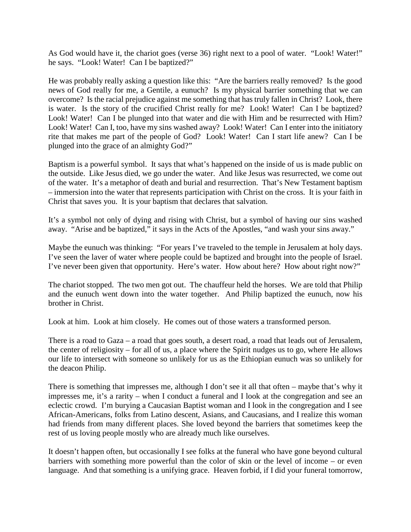As God would have it, the chariot goes (verse 36) right next to a pool of water. "Look! Water!" he says. "Look! Water! Can I be baptized?"

He was probably really asking a question like this: "Are the barriers really removed? Is the good news of God really for me, a Gentile, a eunuch? Is my physical barrier something that we can overcome? Is the racial prejudice against me something that has truly fallen in Christ? Look, there is water. Is the story of the crucified Christ really for me? Look! Water! Can I be baptized? Look! Water! Can I be plunged into that water and die with Him and be resurrected with Him? Look! Water! Can I, too, have my sins washed away? Look! Water! Can I enter into the initiatory rite that makes me part of the people of God? Look! Water! Can I start life anew? Can I be plunged into the grace of an almighty God?"

Baptism is a powerful symbol. It says that what's happened on the inside of us is made public on the outside. Like Jesus died, we go under the water. And like Jesus was resurrected, we come out of the water. It's a metaphor of death and burial and resurrection. That's New Testament baptism – immersion into the water that represents participation with Christ on the cross. It is your faith in Christ that saves you. It is your baptism that declares that salvation.

It's a symbol not only of dying and rising with Christ, but a symbol of having our sins washed away. "Arise and be baptized," it says in the Acts of the Apostles, "and wash your sins away."

Maybe the eunuch was thinking: "For years I've traveled to the temple in Jerusalem at holy days. I've seen the laver of water where people could be baptized and brought into the people of Israel. I've never been given that opportunity. Here's water. How about here? How about right now?"

The chariot stopped. The two men got out. The chauffeur held the horses. We are told that Philip and the eunuch went down into the water together. And Philip baptized the eunuch, now his brother in Christ.

Look at him. Look at him closely. He comes out of those waters a transformed person.

There is a road to Gaza – a road that goes south, a desert road, a road that leads out of Jerusalem, the center of religiosity – for all of us, a place where the Spirit nudges us to go, where He allows our life to intersect with someone so unlikely for us as the Ethiopian eunuch was so unlikely for the deacon Philip.

There is something that impresses me, although I don't see it all that often – maybe that's why it impresses me, it's a rarity – when I conduct a funeral and I look at the congregation and see an eclectic crowd. I'm burying a Caucasian Baptist woman and I look in the congregation and I see African-Americans, folks from Latino descent, Asians, and Caucasians, and I realize this woman had friends from many different places. She loved beyond the barriers that sometimes keep the rest of us loving people mostly who are already much like ourselves.

It doesn't happen often, but occasionally I see folks at the funeral who have gone beyond cultural barriers with something more powerful than the color of skin or the level of income – or even language. And that something is a unifying grace. Heaven forbid, if I did your funeral tomorrow,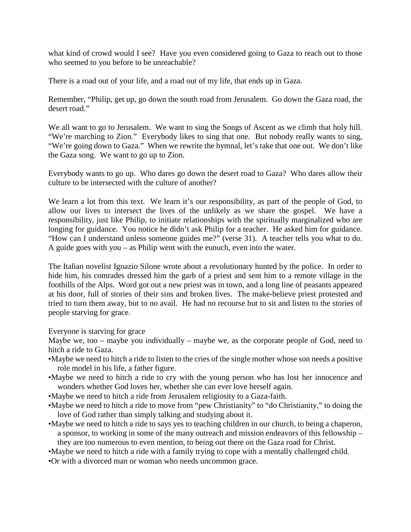what kind of crowd would I see? Have you even considered going to Gaza to reach out to those who seemed to you before to be unreachable?

There is a road out of your life, and a road out of my life, that ends up in Gaza.

Remember, "Philip, get up, go down the south road from Jerusalem. Go down the Gaza road, the desert road."

We all want to go to Jerusalem. We want to sing the Songs of Ascent as we climb that holy hill. "We're marching to Zion." Everybody likes to sing that one. But nobody really wants to sing, "We're going down to Gaza." When we rewrite the hymnal, let's take that one out. We don't like the Gaza song. We want to go up to Zion.

Everybody wants to go up. Who dares go down the desert road to Gaza? Who dares allow their culture to be intersected with the culture of another?

We learn a lot from this text. We learn it's our responsibility, as part of the people of God, to allow our lives to intersect the lives of the unlikely as we share the gospel. We have a responsibility, just like Philip, to initiate relationships with the spiritually marginalized who are longing for guidance. You notice he didn't ask Philip for a teacher. He asked him for guidance. "How can I understand unless someone guides me?" (verse 31). A teacher tells you what to do. A guide goes with you – as Philip went with the eunuch, even into the water.

The Italian novelist Ignazio Silone wrote about a revolutionary hunted by the police. In order to hide him, his comrades dressed him the garb of a priest and sent him to a remote village in the foothills of the Alps. Word got out a new priest was in town, and a long line of peasants appeared at his door, full of stories of their sins and broken lives. The make-believe priest protested and tried to turn them away, but to no avail. He had no recourse but to sit and listen to the stories of people starving for grace.

Everyone is starving for grace

Maybe we, too – maybe you individually – maybe we, as the corporate people of God, need to hitch a ride to Gaza.

- •Maybe we need to hitch a ride to listen to the cries of the single mother whose son needs a positive role model in his life, a father figure.
- •Maybe we need to hitch a ride to cry with the young person who has lost her innocence and wonders whether God loves her, whether she can ever love herself again.
- •Maybe we need to hitch a ride from Jerusalem religiosity to a Gaza-faith.
- •Maybe we need to hitch a ride to move from "pew Christianity" to "do Christianity," to doing the love of God rather than simply talking and studying about it.
- •Maybe we need to hitch a ride to says yes to teaching children in our church, to being a chaperon, a sponsor, to working in some of the many outreach and mission endeavors of this fellowship – they are too numerous to even mention, to being out there on the Gaza road for Christ.
- •Maybe we need to hitch a ride with a family trying to cope with a mentally challenged child.
- •Or with a divorced man or woman who needs uncommon grace.